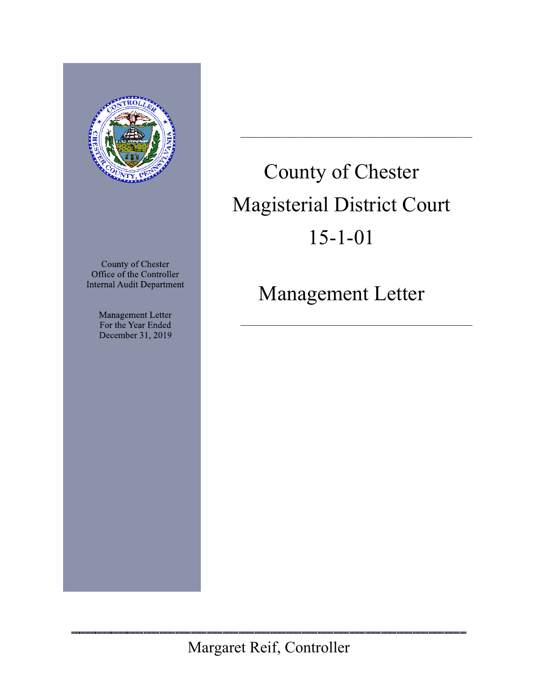

County of Chester Office of the Controller **Internal Audit Department** 

> Management Letter For the Year Ended December 31, 2019

# County of Chester Magisterial District Court 15-1-01

Management Letter

Margaret Reif, Controller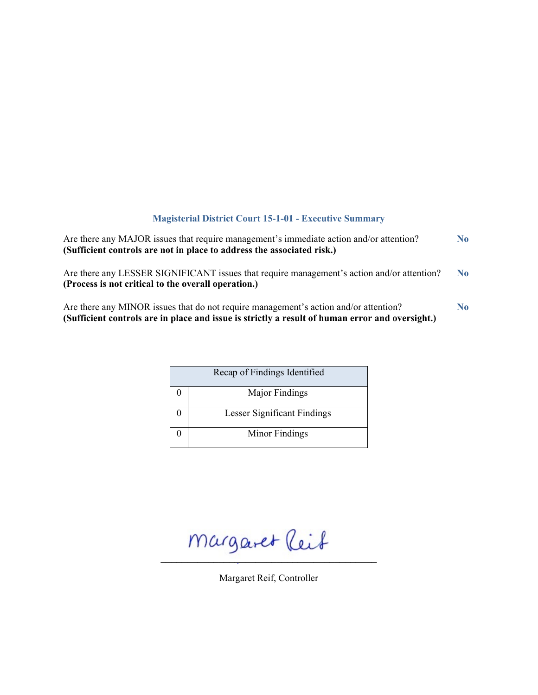# **Magisterial District Court 15-1-01 - Executive Summary**

| Are there any MAJOR issues that require management's immediate action and/or attention?<br>(Sufficient controls are not in place to address the associated risk.)                       | N <sub>0</sub> |
|-----------------------------------------------------------------------------------------------------------------------------------------------------------------------------------------|----------------|
| Are there any LESSER SIGNIFICANT issues that require management's action and/or attention?<br>(Process is not critical to the overall operation.)                                       | N <sub>0</sub> |
| Are there any MINOR issues that do not require management's action and/or attention?<br>(Sufficient controls are in place and issue is strictly a result of human error and oversight.) | N <sub>0</sub> |

| Recap of Findings Identified |
|------------------------------|
| Major Findings               |
| Lesser Significant Findings  |
| Minor Findings               |

 $m$ argaret (leit

Margaret Reif, Controller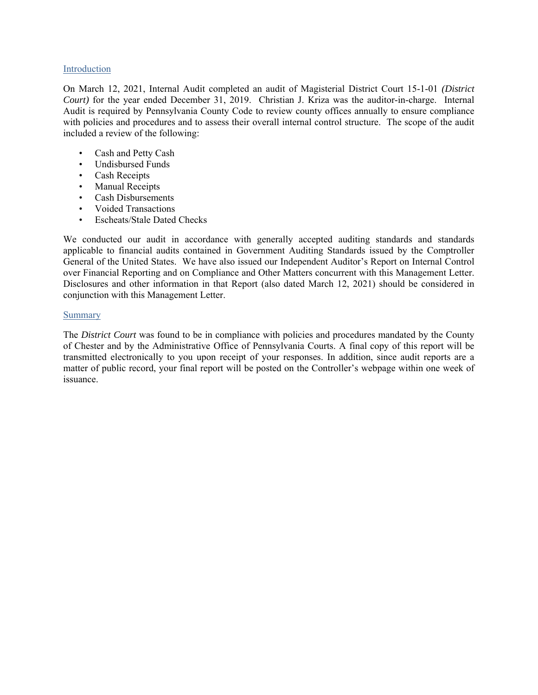#### Introduction

On March 12, 2021, Internal Audit completed an audit of Magisterial District Court 15-1-01 *(District Court)* for the year ended December 31, 2019. Christian J. Kriza was the auditor-in-charge. Internal Audit is required by Pennsylvania County Code to review county offices annually to ensure compliance with policies and procedures and to assess their overall internal control structure. The scope of the audit included a review of the following:

- Cash and Petty Cash
- Undisbursed Funds
- Cash Receipts
- Manual Receipts
- Cash Disbursements
- Voided Transactions
- Escheats/Stale Dated Checks

We conducted our audit in accordance with generally accepted auditing standards and standards applicable to financial audits contained in Government Auditing Standards issued by the Comptroller General of the United States. We have also issued our Independent Auditor's Report on Internal Control over Financial Reporting and on Compliance and Other Matters concurrent with this Management Letter. Disclosures and other information in that Report (also dated March 12, 2021) should be considered in conjunction with this Management Letter.

## Summary

The *District Court* was found to be in compliance with policies and procedures mandated by the County of Chester and by the Administrative Office of Pennsylvania Courts. A final copy of this report will be transmitted electronically to you upon receipt of your responses. In addition, since audit reports are a matter of public record, your final report will be posted on the Controller's webpage within one week of issuance.